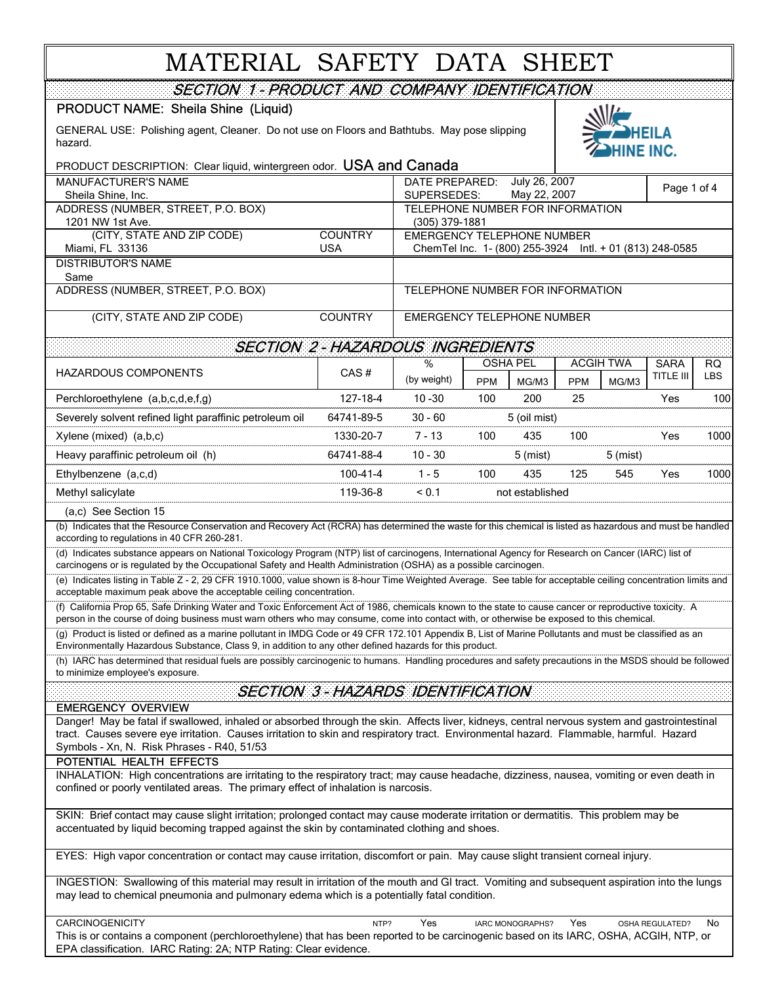# MATERIAL SAFETY DATA SHEET

| SECTION 1 - PRODUCT AND COMPANY IDENTIFICATION                                                                                                                                                                                                                                                        |                                        |                                                          |                     |            |                  |                 |            |  |
|-------------------------------------------------------------------------------------------------------------------------------------------------------------------------------------------------------------------------------------------------------------------------------------------------------|----------------------------------------|----------------------------------------------------------|---------------------|------------|------------------|-----------------|------------|--|
| PRODUCT NAME: Sheila Shine (Liquid)                                                                                                                                                                                                                                                                   |                                        |                                                          |                     |            |                  |                 |            |  |
| GENERAL USE: Polishing agent, Cleaner. Do not use on Floors and Bathtubs. May pose slipping<br>hazard.                                                                                                                                                                                                |                                        |                                                          |                     | HINE INC.  |                  |                 |            |  |
| PRODUCT DESCRIPTION: Clear liquid, wintergreen odor. USA and Canada                                                                                                                                                                                                                                   |                                        |                                                          |                     |            |                  |                 |            |  |
| <b>MANUFACTURER'S NAME</b>                                                                                                                                                                                                                                                                            |                                        | July 26, 2007<br>DATE PREPARED:<br>Page 1 of 4           |                     |            |                  |                 |            |  |
| Sheila Shine, Inc.                                                                                                                                                                                                                                                                                    |                                        | May 22, 2007<br>SUPERSEDES:                              |                     |            |                  |                 |            |  |
| ADDRESS (NUMBER, STREET, P.O. BOX)<br>1201 NW 1st Ave.                                                                                                                                                                                                                                                |                                        | TELEPHONE NUMBER FOR INFORMATION<br>(305) 379-1881       |                     |            |                  |                 |            |  |
| (CITY, STATE AND ZIP CODE)                                                                                                                                                                                                                                                                            | <b>COUNTRY</b>                         | <b>EMERGENCY TELEPHONE NUMBER</b>                        |                     |            |                  |                 |            |  |
| Miami, FL 33136                                                                                                                                                                                                                                                                                       | <b>USA</b>                             | ChemTel Inc. 1- (800) 255-3924 Intl. + 01 (813) 248-0585 |                     |            |                  |                 |            |  |
| <b>DISTRIBUTOR'S NAME</b><br>Same                                                                                                                                                                                                                                                                     |                                        |                                                          |                     |            |                  |                 |            |  |
| ADDRESS (NUMBER, STREET, P.O. BOX)                                                                                                                                                                                                                                                                    |                                        | TELEPHONE NUMBER FOR INFORMATION                         |                     |            |                  |                 |            |  |
| (CITY, STATE AND ZIP CODE)                                                                                                                                                                                                                                                                            | <b>COUNTRY</b>                         | EMERGENCY TELEPHONE NUMBER                               |                     |            |                  |                 |            |  |
|                                                                                                                                                                                                                                                                                                       | <b>SECTION 2-HAZARDOUS INGREDIENTS</b> |                                                          |                     |            |                  |                 |            |  |
| <b>HAZARDOUS COMPONENTS</b>                                                                                                                                                                                                                                                                           | CAS#                                   | %                                                        | <b>OSHA PEL</b>     |            | <b>ACGIH TWA</b> | <b>SARA</b>     | RQ.        |  |
|                                                                                                                                                                                                                                                                                                       |                                        | (by weight)                                              | <b>PPM</b><br>MG/M3 | <b>PPM</b> | MG/M3            | TITLE III       | <b>LBS</b> |  |
| Perchloroethylene (a,b,c,d,e,f,g)                                                                                                                                                                                                                                                                     | 127-18-4                               | $10 - 30$                                                | 200<br>100          | 25         |                  | Yes             | 100        |  |
| Severely solvent refined light paraffinic petroleum oil                                                                                                                                                                                                                                               | 64741-89-5                             | $30 - 60$                                                | 5 (oil mist)        |            |                  |                 |            |  |
| Xylene (mixed) (a,b,c)                                                                                                                                                                                                                                                                                | 1330-20-7                              | $7 - 13$                                                 | 100<br>435          | 100        |                  | Yes             | 1000       |  |
| Heavy paraffinic petroleum oil (h)                                                                                                                                                                                                                                                                    | 64741-88-4                             | $10 - 30$                                                | $5$ (mist)          |            | $5$ (mist)       |                 |            |  |
| Ethylbenzene (a,c,d)                                                                                                                                                                                                                                                                                  | 100-41-4                               | $1 - 5$                                                  | 100<br>435          | 125        | 545              | Yes             | 1000       |  |
| Methyl salicylate                                                                                                                                                                                                                                                                                     | 119-36-8                               | < 0.1                                                    | not established     |            |                  |                 |            |  |
| (a,c) See Section 15                                                                                                                                                                                                                                                                                  |                                        |                                                          |                     |            |                  |                 |            |  |
| (b) Indicates that the Resource Conservation and Recovery Act (RCRA) has determined the waste for this chemical is listed as hazardous and must be handled<br>according to regulations in 40 CFR 260-281.                                                                                             |                                        |                                                          |                     |            |                  |                 |            |  |
| (d) Indicates substance appears on National Toxicology Program (NTP) list of carcinogens, International Agency for Research on Cancer (IARC) list of<br>carcinogens or is regulated by the Occupational Safety and Health Administration (OSHA) as a possible carcinogen.                             |                                        |                                                          |                     |            |                  |                 |            |  |
| (e) Indicates listing in Table Z - 2, 29 CFR 1910.1000, value shown is 8-hour Time Weighted Average. See table for acceptable ceiling concentration limits and<br>acceptable maximum peak above the acceptable ceiling concentration.                                                                 |                                        |                                                          |                     |            |                  |                 |            |  |
| (f) California Prop 65, Safe Drinking Water and Toxic Enforcement Act of 1986, chemicals known to the state to cause cancer or reproductive toxicity. A<br>person in the course of doing business must warn others who may consume, come into contact with, or otherwise be exposed to this chemical. |                                        |                                                          |                     |            |                  |                 |            |  |
| (g) Product is listed or defined as a marine pollutant in IMDG Code or 49 CFR 172.101 Appendix B, List of Marine Pollutants and must be classified as an<br>Environmentally Hazardous Substance, Class 9, in addition to any other defined hazards for this product.                                  |                                        |                                                          |                     |            |                  |                 |            |  |
| (h) IARC has determined that residual fuels are possibly carcinogenic to humans. Handling procedures and safety precautions in the MSDS should be followed<br>to minimize employee's exposure.                                                                                                        |                                        |                                                          |                     |            |                  |                 |            |  |
| <b>SECTION 3 - HAZARDS IDENTIFICATION</b>                                                                                                                                                                                                                                                             |                                        |                                                          |                     |            |                  |                 |            |  |
| <b>EMERGENCY OVERVIEW</b><br>Danger! May be fatal if swallowed, inhaled or absorbed through the skin. Affects liver, kidneys, central nervous system and gastrointestinal                                                                                                                             |                                        |                                                          |                     |            |                  |                 |            |  |
| tract. Causes severe eye irritation. Causes irritation to skin and respiratory tract. Environmental hazard. Flammable, harmful. Hazard                                                                                                                                                                |                                        |                                                          |                     |            |                  |                 |            |  |
| Symbols - Xn, N. Risk Phrases - R40, 51/53                                                                                                                                                                                                                                                            |                                        |                                                          |                     |            |                  |                 |            |  |
| POTENTIAL HEALTH EFFECTS<br>INHALATION: High concentrations are irritating to the respiratory tract; may cause headache, dizziness, nausea, vomiting or even death in                                                                                                                                 |                                        |                                                          |                     |            |                  |                 |            |  |
| confined or poorly ventilated areas. The primary effect of inhalation is narcosis.                                                                                                                                                                                                                    |                                        |                                                          |                     |            |                  |                 |            |  |
| SKIN: Brief contact may cause slight irritation; prolonged contact may cause moderate irritation or dermatitis. This problem may be<br>accentuated by liquid becoming trapped against the skin by contaminated clothing and shoes.                                                                    |                                        |                                                          |                     |            |                  |                 |            |  |
|                                                                                                                                                                                                                                                                                                       |                                        |                                                          |                     |            |                  |                 |            |  |
| EYES: High vapor concentration or contact may cause irritation, discomfort or pain. May cause slight transient corneal injury.                                                                                                                                                                        |                                        |                                                          |                     |            |                  |                 |            |  |
| INGESTION: Swallowing of this material may result in irritation of the mouth and GI tract. Vomiting and subsequent aspiration into the lungs<br>may lead to chemical pneumonia and pulmonary edema which is a potentially fatal condition.                                                            |                                        |                                                          |                     |            |                  |                 |            |  |
| CARCINOGENICITY                                                                                                                                                                                                                                                                                       | NTP?                                   | Yes                                                      | IARC MONOGRAPHS?    | Yes        |                  | OSHA REGULATED? | No         |  |

This is or contains a component (perchloroethylene) that has been reported to be carcinogenic based on its IARC, OSHA, ACGIH, NTP, or EPA classification. IARC Rating: 2A; NTP Rating: Clear evidence.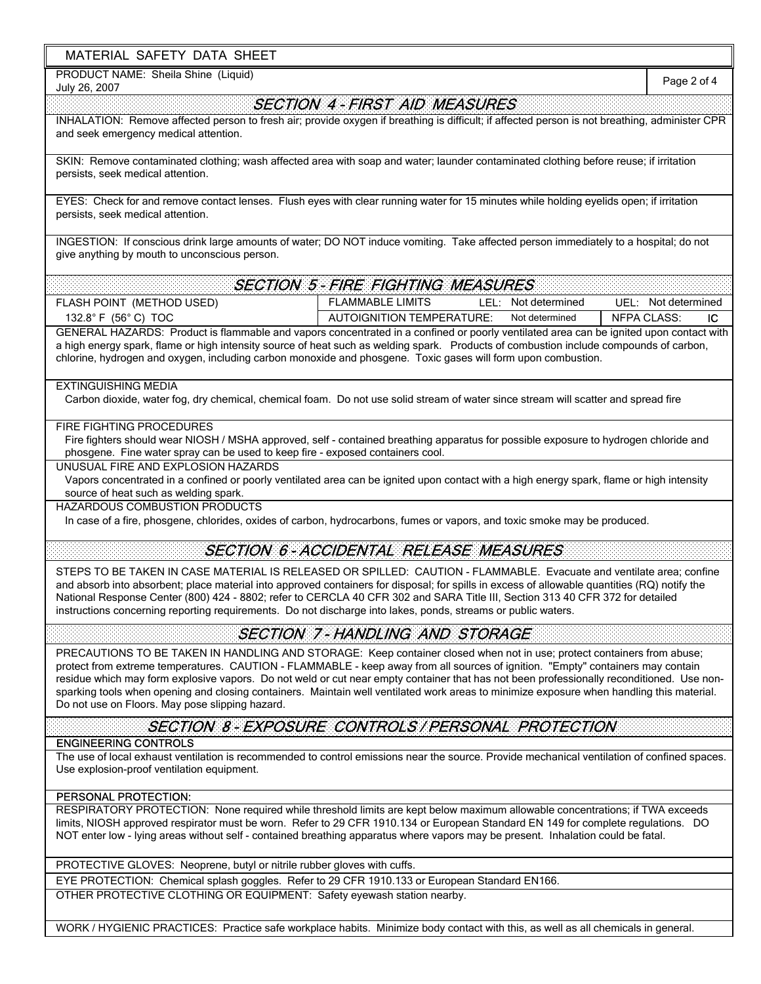# MATERIAL SAFETY DATA SHEET

PRODUCT NAME: Sheila Shine (Liquid)

# July 26, 2007 FLASH POINT (METHOD USED) FLAMMABLE LIMITS LEL: Not determined UEL: 132.8° F (56° C) TOC IC AUTOIGNITION TEMPERATURE: NFPA CLASS: Page 2 of 4 PRECAUTIONS TO BE TAKEN IN HANDLING AND STORAGE: Keep container closed when not in use; protect containers from abuse; protect from extreme temperatures. CAUTION - FLAMMABLE - keep away from all sources of ignition. "Empty" containers may contain residue which may form explosive vapors. Do not weld or cut near empty container that has not been professionally reconditioned. Use nonsparking tools when opening and closing containers. Maintain well ventilated work areas to minimize exposure when handling this material. Do not use on Floors. May pose slipping hazard. RESPIRATORY PROTECTION: None required while threshold limits are kept below maximum allowable concentrations; if TWA exceeds limits, NIOSH approved respirator must be worn. Refer to 29 CFR 1910.134 or European Standard EN 149 for complete regulations. DO NOT enter low - lying areas without self - contained breathing apparatus where vapors may be present. Inhalation could be fatal. WORK / HYGIENIC PRACTICES: Practice safe workplace habits. Minimize body contact with this, as well as all chemicals in general. PERSONAL PROTECTION: SECTION 4 - FIRST AID MEASURES INHALATION: Remove affected person to fresh air; provide oxygen if breathing is difficult; if affected person is not breathing, administer CPR and seek emergency medical attention. SKIN: Remove contaminated clothing; wash affected area with soap and water; launder contaminated clothing before reuse; if irritation persists, seek medical attention. EYES: Check for and remove contact lenses. Flush eyes with clear running water for 15 minutes while holding eyelids open; if irritation persists, seek medical attention. SECTION 8 - EXPOSURE CONTROLS / PERSONAL PROTECTION INGESTION: If conscious drink large amounts of water; DO NOT induce vomiting. Take affected person immediately to a hospital; do not give anything by mouth to unconscious person. SECTION 5 - FIRE FIGHTING MEASURES In case of a fire, phosgene, chlorides, oxides of carbon, hydrocarbons, fumes or vapors, and toxic smoke may be produced. STEPS TO BE TAKEN IN CASE MATERIAL IS RELEASED OR SPILLED: CAUTION - FLAMMABLE. Evacuate and ventilate area; confine and absorb into absorbent; place material into approved containers for disposal; for spills in excess of allowable quantities (RQ) notify the National Response Center (800) 424 - 8802; refer to CERCLA 40 CFR 302 and SARA Title III, Section 313 40 CFR 372 for detailed instructions concerning reporting requirements. Do not discharge into lakes, ponds, streams or public waters. Not determined Not determined UNUSUAL FIRE AND EXPLOSION HAZARDS EXTINGUISHING MEDIA GENERAL HAZARDS: Product is flammable and vapors concentrated in a confined or poorly ventilated area can be ignited upon contact with a high energy spark, flame or high intensity source of heat such as welding spark. Products of combustion include compounds of carbon, chlorine, hydrogen and oxygen, including carbon monoxide and phosgene. Toxic gases will form upon combustion. Vapors concentrated in a confined or poorly ventilated area can be ignited upon contact with a high energy spark, flame or high intensity source of heat such as welding spark. SECTION 6 - ACCIDENTAL RELEASE MEASURES HAZARDOUS COMBUSTION PRODUCTS PROTECTIVE GLOVES: Neoprene, butyl or nitrile rubber gloves with cuffs. Fire fighters should wear NIOSH / MSHA approved, self - contained breathing apparatus for possible exposure to hydrogen chloride and phosgene. Fine water spray can be used to keep fire - exposed containers cool. ENGINEERING CONTROLS OTHER PROTECTIVE CLOTHING OR EQUIPMENT: Safety eyewash station nearby. SECTION 7 - HANDLING AND STORAGE EYE PROTECTION: Chemical splash goggles. Refer to 29 CFR 1910.133 or European Standard EN166. The use of local exhaust ventilation is recommended to control emissions near the source. Provide mechanical ventilation of confined spaces. Use explosion-proof ventilation equipment. FIRE FIGHTING PROCEDURES Carbon dioxide, water fog, dry chemical, chemical foam. Do not use solid stream of water since stream will scatter and spread fire LEL: Not determined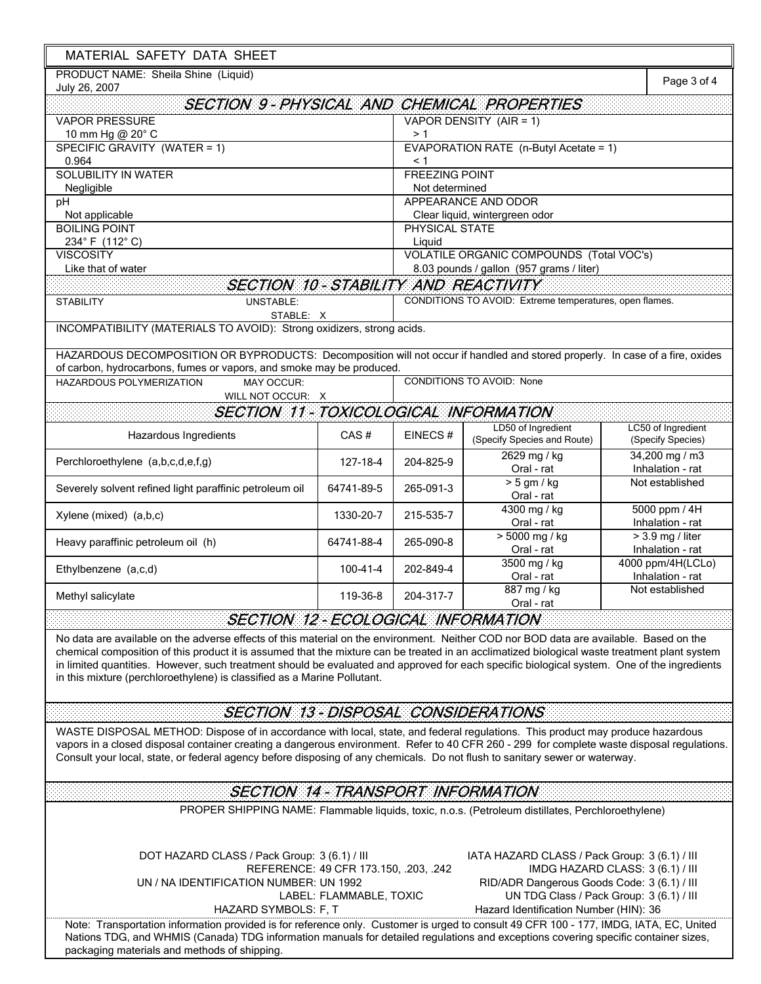| MATERIAL SAFETY DATA SHEET                                                                                                                                                                                                                                                                                                                                                                                                                                                                                         |                                                                  |                                        |                                                                                                                                        |                                                                              |  |
|--------------------------------------------------------------------------------------------------------------------------------------------------------------------------------------------------------------------------------------------------------------------------------------------------------------------------------------------------------------------------------------------------------------------------------------------------------------------------------------------------------------------|------------------------------------------------------------------|----------------------------------------|----------------------------------------------------------------------------------------------------------------------------------------|------------------------------------------------------------------------------|--|
| PRODUCT NAME: Sheila Shine (Liquid)<br>July 26, 2007                                                                                                                                                                                                                                                                                                                                                                                                                                                               |                                                                  |                                        |                                                                                                                                        |                                                                              |  |
| <b>SECTION 9-PHYSICAL AND CHEMICAL PROPERTIES</b>                                                                                                                                                                                                                                                                                                                                                                                                                                                                  |                                                                  |                                        |                                                                                                                                        |                                                                              |  |
| <b>VAPOR PRESSURE</b>                                                                                                                                                                                                                                                                                                                                                                                                                                                                                              |                                                                  | VAPOR DENSITY (AIR = 1)<br>> 1         |                                                                                                                                        |                                                                              |  |
| 10 mm Hg @ 20° C<br>SPECIFIC GRAVITY (WATER = 1)                                                                                                                                                                                                                                                                                                                                                                                                                                                                   |                                                                  | EVAPORATION RATE (n-Butyl Acetate = 1) |                                                                                                                                        |                                                                              |  |
| 0.964<br><b>SOLUBILITY IN WATER</b>                                                                                                                                                                                                                                                                                                                                                                                                                                                                                |                                                                  | < 1<br><b>FREEZING POINT</b>           |                                                                                                                                        |                                                                              |  |
| Negligible                                                                                                                                                                                                                                                                                                                                                                                                                                                                                                         |                                                                  | Not determined                         |                                                                                                                                        |                                                                              |  |
| pH                                                                                                                                                                                                                                                                                                                                                                                                                                                                                                                 |                                                                  | APPEARANCE AND ODOR                    |                                                                                                                                        |                                                                              |  |
| Not applicable                                                                                                                                                                                                                                                                                                                                                                                                                                                                                                     |                                                                  |                                        | Clear liquid, wintergreen odor                                                                                                         |                                                                              |  |
| <b>BOILING POINT</b><br>234°F (112°C)                                                                                                                                                                                                                                                                                                                                                                                                                                                                              | PHYSICAL STATE<br>Liquid                                         |                                        |                                                                                                                                        |                                                                              |  |
| <b>VISCOSITY</b>                                                                                                                                                                                                                                                                                                                                                                                                                                                                                                   | VOLATILE ORGANIC COMPOUNDS (Total VOC's)                         |                                        |                                                                                                                                        |                                                                              |  |
| Like that of water                                                                                                                                                                                                                                                                                                                                                                                                                                                                                                 | 8.03 pounds / gallon (957 grams / liter)                         |                                        |                                                                                                                                        |                                                                              |  |
| <b>SECTION 10-STABILITY AND REACTIVITY</b>                                                                                                                                                                                                                                                                                                                                                                                                                                                                         |                                                                  |                                        |                                                                                                                                        |                                                                              |  |
| <b>UNSTABLE:</b><br><b>STABILITY</b><br>STABLE: X                                                                                                                                                                                                                                                                                                                                                                                                                                                                  |                                                                  |                                        | CONDITIONS TO AVOID: Extreme temperatures, open flames.                                                                                |                                                                              |  |
| INCOMPATIBILITY (MATERIALS TO AVOID): Strong oxidizers, strong acids.                                                                                                                                                                                                                                                                                                                                                                                                                                              |                                                                  |                                        |                                                                                                                                        |                                                                              |  |
| HAZARDOUS DECOMPOSITION OR BYPRODUCTS: Decomposition will not occur if handled and stored properly. In case of a fire, oxides<br>of carbon, hydrocarbons, fumes or vapors, and smoke may be produced.                                                                                                                                                                                                                                                                                                              |                                                                  |                                        |                                                                                                                                        |                                                                              |  |
| MAY OCCUR:<br>HAZARDOUS POLYMERIZATION<br>WILL NOT OCCUR: X                                                                                                                                                                                                                                                                                                                                                                                                                                                        |                                                                  | <b>CONDITIONS TO AVOID: None</b>       |                                                                                                                                        |                                                                              |  |
| <b>SECTION 11 - TOXICOLOGICAL INFORMATION</b>                                                                                                                                                                                                                                                                                                                                                                                                                                                                      |                                                                  |                                        |                                                                                                                                        |                                                                              |  |
| Hazardous Ingredients                                                                                                                                                                                                                                                                                                                                                                                                                                                                                              | CAS#                                                             | EINECS#                                | LD50 of Ingredient<br>(Specify Species and Route)                                                                                      | LC50 of Ingredient<br>(Specify Species)                                      |  |
| Perchloroethylene (a,b,c,d,e,f,g)                                                                                                                                                                                                                                                                                                                                                                                                                                                                                  | 127-18-4                                                         | 204-825-9                              | $2629$ mg / kg<br>Oral - rat                                                                                                           | 34,200 mg / m3<br>Inhalation - rat                                           |  |
| Severely solvent refined light paraffinic petroleum oil                                                                                                                                                                                                                                                                                                                                                                                                                                                            | 64741-89-5                                                       | 265-091-3                              | $> 5$ gm / kg<br>Oral - rat                                                                                                            | Not established                                                              |  |
| Xylene (mixed) (a,b,c)                                                                                                                                                                                                                                                                                                                                                                                                                                                                                             | 1330-20-7                                                        | 215-535-7                              | 4300 mg / kg<br>Oral - rat                                                                                                             | 5000 ppm / 4H<br>Inhalation - rat                                            |  |
| Heavy paraffinic petroleum oil (h)                                                                                                                                                                                                                                                                                                                                                                                                                                                                                 | 64741-88-4                                                       | 265-090-8                              | $> 5000$ mg / kg<br>Oral - rat                                                                                                         | $> 3.9$ mg / liter<br>Inhalation - rat                                       |  |
| Ethylbenzene (a,c,d)                                                                                                                                                                                                                                                                                                                                                                                                                                                                                               | 100-41-4                                                         | 202-849-4                              | 3500 mg / kg<br>Oral - rat                                                                                                             | 4000 ppm/4H(LCLo)<br>Inhalation - rat                                        |  |
| Methyl salicylate                                                                                                                                                                                                                                                                                                                                                                                                                                                                                                  | 119-36-8                                                         | 204-317-7                              | 887 mg / kg<br>Oral - rat                                                                                                              | Not established                                                              |  |
| <b>SECTION 12 - ECOLOGICAL INFORMATION</b>                                                                                                                                                                                                                                                                                                                                                                                                                                                                         |                                                                  |                                        |                                                                                                                                        |                                                                              |  |
| No data are available on the adverse effects of this material on the environment. Neither COD nor BOD data are available. Based on the<br>chemical composition of this product it is assumed that the mixture can be treated in an acclimatized biological waste treatment plant system<br>in limited quantities. However, such treatment should be evaluated and approved for each specific biological system. One of the ingredients<br>in this mixture (perchloroethylene) is classified as a Marine Pollutant. |                                                                  |                                        |                                                                                                                                        |                                                                              |  |
| <b>SECTION 13 - DISPOSAL CONSIDERATIONS</b>                                                                                                                                                                                                                                                                                                                                                                                                                                                                        |                                                                  |                                        |                                                                                                                                        |                                                                              |  |
| WASTE DISPOSAL METHOD: Dispose of in accordance with local, state, and federal regulations. This product may produce hazardous<br>vapors in a closed disposal container creating a dangerous environment. Refer to 40 CFR 260 - 299 for complete waste disposal regulations.<br>Consult your local, state, or federal agency before disposing of any chemicals. Do not flush to sanitary sewer or waterway.                                                                                                        |                                                                  |                                        |                                                                                                                                        |                                                                              |  |
| <b>SECTION 14 - TRANSPORT INFORMATION</b>                                                                                                                                                                                                                                                                                                                                                                                                                                                                          |                                                                  |                                        |                                                                                                                                        |                                                                              |  |
|                                                                                                                                                                                                                                                                                                                                                                                                                                                                                                                    |                                                                  |                                        | PROPER SHIPPING NAME: Flammable liquids, toxic, n.o.s. (Petroleum distillates, Perchloroethylene)                                      |                                                                              |  |
| DOT HAZARD CLASS / Pack Group: 3 (6.1) / III<br>UN / NA IDENTIFICATION NUMBER: UN 1992<br>HAZARD SYMBOLS: F, T<br>Note: Transportation information provided is for reference only. Customer is urged to consult 49 CFR 100 - 177, IMDG, IATA, EC, United<br>Nations TDG, and WHMIS (Canada) TDG information manuals for detailed regulations and exceptions covering specific container sizes,                                                                                                                     | REFERENCE: 49 CFR 173.150, .203, .242<br>LABEL: FLAMMABLE, TOXIC |                                        | IATA HAZARD CLASS / Pack Group: 3 (6.1) / III<br>RID/ADR Dangerous Goods Code: 3 (6.1) / III<br>Hazard Identification Number (HIN): 36 | IMDG HAZARD CLASS: 3 (6.1) / III<br>UN TDG Class / Pack Group: 3 (6.1) / III |  |
| packaging materials and methods of shipping.                                                                                                                                                                                                                                                                                                                                                                                                                                                                       |                                                                  |                                        |                                                                                                                                        |                                                                              |  |

 $\mathbf{r}$ 

 $\overline{1}$